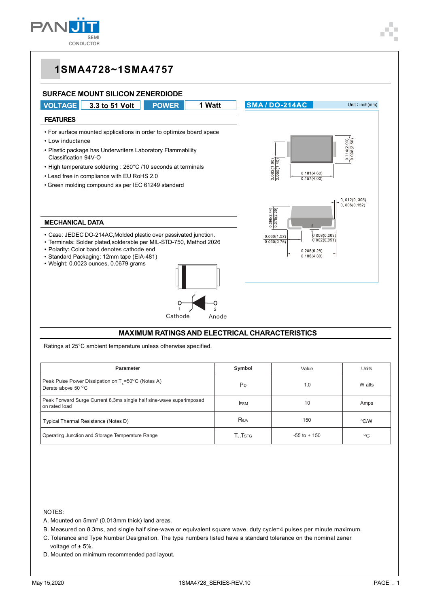



Ratings at 25°C ambient temperature unless otherwise specified.

| <b>Parameter</b>                                                                              | Symbol               | Value           | Units        |
|-----------------------------------------------------------------------------------------------|----------------------|-----------------|--------------|
| Peak Pulse Power Dissipation on $T_s = 50^{\circ}$ C (Notes A)<br>Derate above $50^{\circ}$ C | P <sub>D</sub>       | 1.0             | W atts       |
| Peak Forward Surge Current 8.3ms single half sine-wave superimposed<br>on rated load          | <b>FSM</b>           | 10              | Amps         |
| Typical Thermal Resistance (Notes D)                                                          | $R_{\theta$ JA       | 150             | °C/W         |
| Operating Junction and Storage Temperature Range                                              | TJ, T <sub>STG</sub> | $-55$ to $+150$ | $^{\circ}$ C |

NOTES:

- A. Mounted on 5mm2 (0.013mm thick) land areas.
- B. Measured on 8.3ms, and single half sine-wave or equivalent square wave, duty cycle=4 pulses per minute maximum.
- C. Tolerance and Type Number Designation. The type numbers listed have a standard tolerance on the nominal zener
- voltage of ± 5%.
- D. Mounted on minimum recommended pad layout.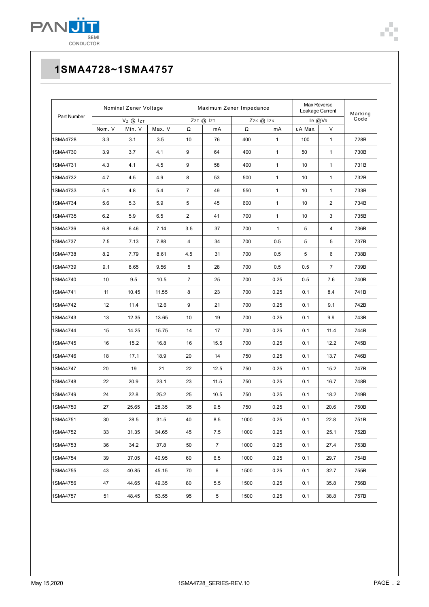

| Part Number | Nominal Zener Voltage |        | Maximum Zener Impedance |                |                |      | Max Reverse<br>Leakage Current |         | Marking        |      |
|-------------|-----------------------|--------|-------------------------|----------------|----------------|------|--------------------------------|---------|----------------|------|
|             | $V_Z$ @ $I_{ZT}$      |        | ZzT @ IzT               |                | Zzk @ Izk      |      | IR @VR                         |         | Code           |      |
|             | Nom. V                | Min. V | Max. V                  | Ω              | mA             | Ω    | mA                             | uA Max. | V              |      |
| 1SMA4728    | 3.3                   | 3.1    | 3.5                     | 10             | 76             | 400  | 1                              | 100     | 1              | 728B |
| 1SMA4730    | 3.9                   | 3.7    | 4.1                     | 9              | 64             | 400  | 1                              | 50      | 1              | 730B |
| 1SMA4731    | 4.3                   | 4.1    | 4.5                     | 9              | 58             | 400  | $\mathbf{1}$                   | 10      | 1              | 731B |
| 1SMA4732    | 4.7                   | 4.5    | 4.9                     | 8              | 53             | 500  | 1                              | 10      | $\mathbf{1}$   | 732B |
| 1SMA4733    | 5.1                   | 4.8    | 5.4                     | $\overline{7}$ | 49             | 550  | $\mathbf{1}$                   | 10      | $\mathbf{1}$   | 733B |
| 1SMA4734    | 5.6                   | 5.3    | 5.9                     | 5              | 45             | 600  | 1                              | 10      | 2              | 734B |
| 1SMA4735    | 6.2                   | 5.9    | 6.5                     | $\overline{2}$ | 41             | 700  | $\mathbf{1}$                   | 10      | 3              | 735B |
| 1SMA4736    | 6.8                   | 6.46   | 7.14                    | 3.5            | 37             | 700  | $\mathbf{1}$                   | 5       | 4              | 736B |
| 1SMA4737    | 7.5                   | 7.13   | 7.88                    | 4              | 34             | 700  | 0.5                            | 5       | 5              | 737B |
| 1SMA4738    | 8.2                   | 7.79   | 8.61                    | 4.5            | 31             | 700  | 0.5                            | 5       | 6              | 738B |
| 1SMA4739    | 9.1                   | 8.65   | 9.56                    | 5              | 28             | 700  | 0.5                            | 0.5     | $\overline{7}$ | 739B |
| 1SMA4740    | 10                    | 9.5    | 10.5                    | $\overline{7}$ | 25             | 700  | 0.25                           | 0.5     | 7.6            | 740B |
| 1SMA4741    | 11                    | 10.45  | 11.55                   | 8              | 23             | 700  | 0.25                           | 0.1     | 8.4            | 741B |
| 1SMA4742    | 12                    | 11.4   | 12.6                    | 9              | 21             | 700  | 0.25                           | 0.1     | 9.1            | 742B |
| 1SMA4743    | 13                    | 12.35  | 13.65                   | 10             | 19             | 700  | 0.25                           | 0.1     | 9.9            | 743B |
| 1SMA4744    | 15                    | 14.25  | 15.75                   | 14             | 17             | 700  | 0.25                           | 0.1     | 11.4           | 744B |
| 1SMA4745    | 16                    | 15.2   | 16.8                    | 16             | 15.5           | 700  | 0.25                           | 0.1     | 12.2           | 745B |
| 1SMA4746    | 18                    | 17.1   | 18.9                    | 20             | 14             | 750  | 0.25                           | 0.1     | 13.7           | 746B |
| 1SMA4747    | 20                    | 19     | 21                      | 22             | 12.5           | 750  | 0.25                           | 0.1     | 15.2           | 747B |
| 1SMA4748    | 22                    | 20.9   | 23.1                    | 23             | 11.5           | 750  | 0.25                           | 0.1     | 16.7           | 748B |
| 1SMA4749    | 24                    | 22.8   | 25.2                    | 25             | 10.5           | 750  | 0.25                           | 0.1     | 18.2           | 749B |
| 1SMA4750    | 27                    | 25.65  | 28.35                   | 35             | 9.5            | 750  | 0.25                           | 0.1     | 20.6           | 750B |
| 1SMA4751    | 30                    | 28.5   | 31.5                    | 40             | 8.5            | 1000 | 0.25                           | 0.1     | 22.8           | 751B |
| 1SMA4752    | 33                    | 31.35  | 34.65                   | 45             | 7.5            | 1000 | 0.25                           | 0.1     | 25.1           | 752B |
| 1SMA4753    | 36                    | 34.2   | 37.8                    | 50             | $\overline{7}$ | 1000 | 0.25                           | 0.1     | 27.4           | 753B |
| 1SMA4754    | 39                    | 37.05  | 40.95                   | 60             | 6.5            | 1000 | 0.25                           | 0.1     | 29.7           | 754B |
| 1SMA4755    | 43                    | 40.85  | 45.15                   | 70             | 6              | 1500 | 0.25                           | 0.1     | 32.7           | 755B |
| 1SMA4756    | 47                    | 44.65  | 49.35                   | 80             | 5.5            | 1500 | 0.25                           | 0.1     | 35.8           | 756B |
| 1SMA4757    | 51                    | 48.45  | 53.55                   | 95             | 5              | 1500 | 0.25                           | 0.1     | 38.8           | 757B |

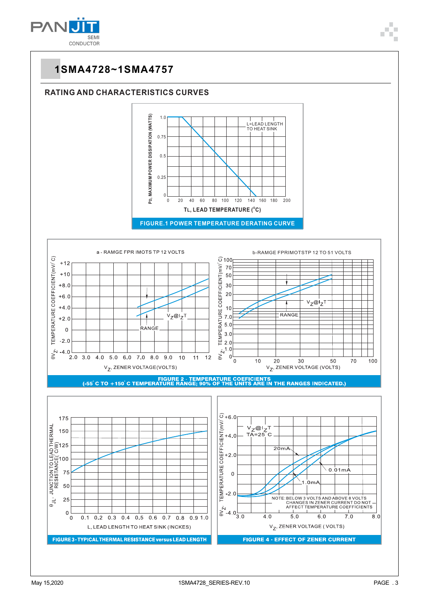

#### **RATING AND CHARACTERISTICS CURVES**





FIGURE 2 - TEMPERATURE COEFICIENTS<br>(-55 °C TO +150 °C TEMPERATURE RANGE; 90% OF THE UNITS ARE IN THE RANGES INDICATED.)

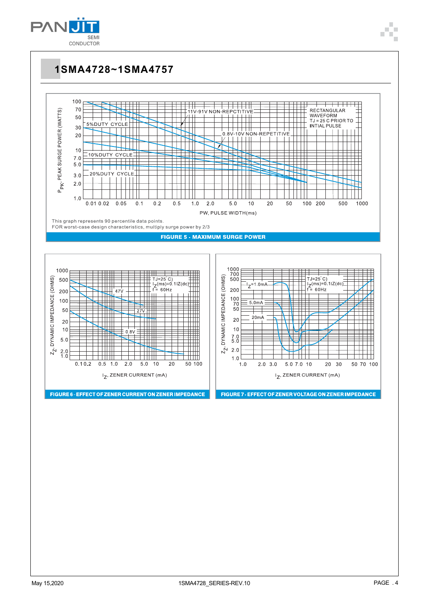

 $5.0$ 

Ħ

 $0.5\,$  $1.0$ 

 $0.10.2$ 

HH

 $5.0\,$  $10$ 

 $2.0$ 

FIGURE 6 - EFFECT OF ZENER CURRENT ON ZENER IMPEDANCE

I<sub>Z</sub>, ZENER CURRENT (mA)

 $\tilde{Z}$  $^{2.0}_{1.0}$ 

**1SMA4728~1SMA4757**



 $Z_{\mathbb{Z}}$  $2.0$ 

 $1.0$ 

 $1.0$ 

 $2.0$  3.0

5.0 7.0 10

FIGURE 7 - EFFECT OF ZENER VOLTAGE ON ZENER IMPEDANCE

 $I_Z$ , ZENER CURRENT (mA)

20 30

i ilit

50 100

20

ĦΙ

50 70 100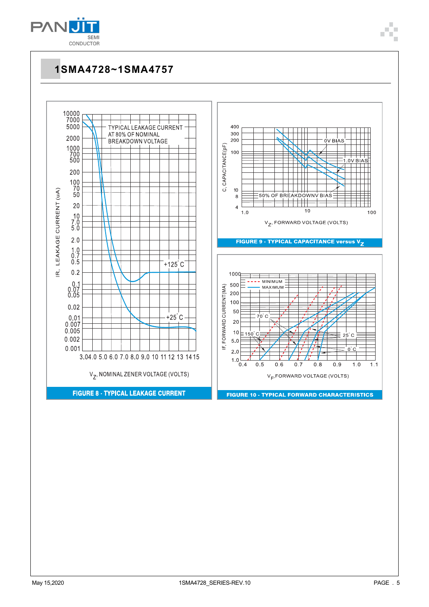

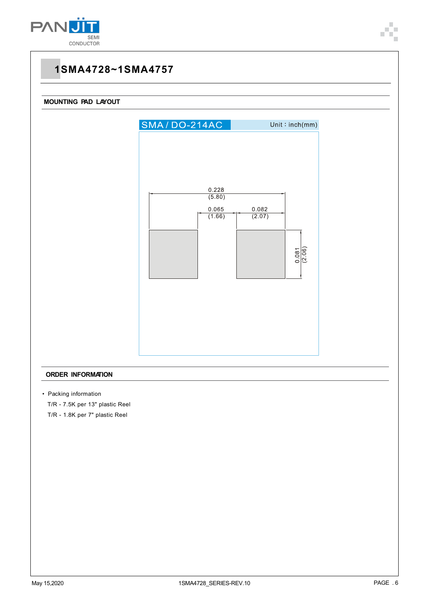



#### **ORDER INFORMATION**

• Packing information

T/R - 7.5K per 13" plastic Reel

T/R - 1.8K per 7" plastic Reel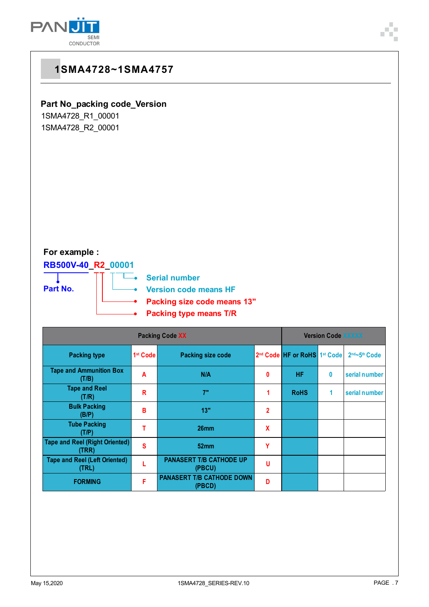

#### **Part No\_packing code\_Version**

1SMA4728\_R1\_00001 1SMA4728\_R2\_00001

### **For example :**

### **RB500V-40\_R2\_00001**



**Serial number** ÷.

**Version code means HF**

**Packing size code means 13"** ó

**Packing type means T/R**

| <b>Packing Code XX</b>                         |                      |                                            |                |                                                      | <b>Version Code XXXXX</b> |               |  |
|------------------------------------------------|----------------------|--------------------------------------------|----------------|------------------------------------------------------|---------------------------|---------------|--|
| <b>Packing type</b>                            | 1 <sup>st</sup> Code | <b>Packing size code</b>                   |                | 2 <sup>nd</sup> Code HF or RoHS 1 <sup>st</sup> Code |                           | 2nd~5th Code  |  |
| <b>Tape and Ammunition Box</b><br>(T/B)        | A                    | N/A                                        | 0              | HF                                                   | 0                         | serial number |  |
| <b>Tape and Reel</b><br>(T/R)                  | R                    | 7"                                         |                | <b>RoHS</b>                                          | 1                         | serial number |  |
| <b>Bulk Packing</b><br>(B/P)                   | в                    | 13"                                        | $\overline{2}$ |                                                      |                           |               |  |
| <b>Tube Packing</b><br>(T/P)                   |                      | 26 <sub>mm</sub>                           | X              |                                                      |                           |               |  |
| <b>Tape and Reel (Right Oriented)</b><br>(TRR) | S                    | 52 <sub>mm</sub>                           | Ϋ              |                                                      |                           |               |  |
| <b>Tape and Reel (Left Oriented)</b><br>(TRL)  |                      | <b>PANASERT T/B CATHODE UP</b><br>(PBCU)   | U              |                                                      |                           |               |  |
| <b>FORMING</b>                                 | F                    | <b>PANASERT T/B CATHODE DOWN</b><br>(PBCD) | D              |                                                      |                           |               |  |